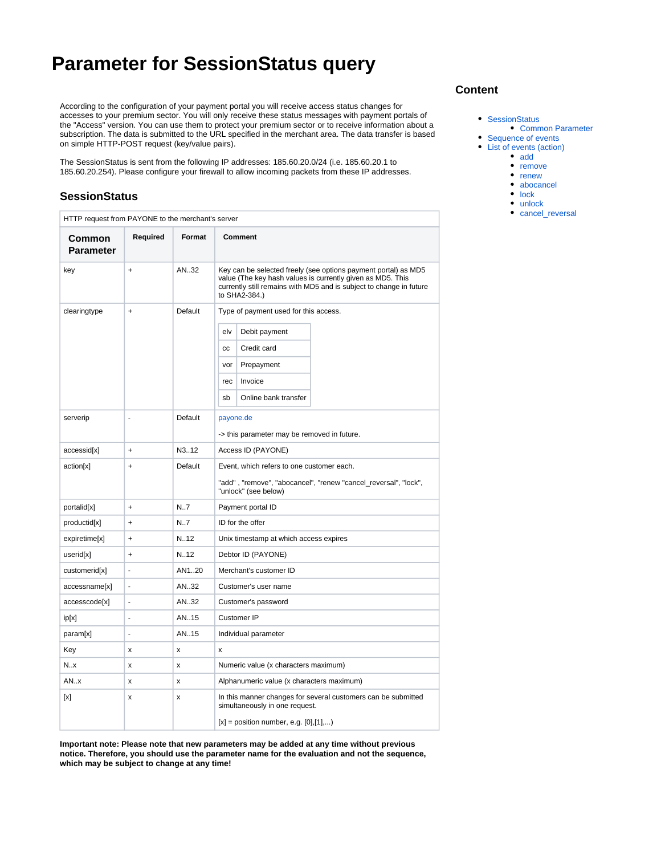# **Parameter for SessionStatus query**

According to the configuration of your payment portal you will receive access status changes for accesses to your premium sector. You will only receive these status messages with payment portals of the "Access" version. You can use them to protect your premium sector or to receive information about a subscription. The data is submitted to the URL specified in the merchant area. The data transfer is based on simple HTTP-POST request (key/value pairs).

The SessionStatus is sent from the following IP addresses: 185.60.20.0/24 (i.e. 185.60.20.1 to 185.60.20.254). Please configure your firewall to allow incoming packets from these IP addresses.

## <span id="page-0-0"></span>**SessionStatus**

<span id="page-0-1"></span>

| HTTP request from PAYONE to the merchant's server |           |                           |                                                                                                                                                                                                                      |  |
|---------------------------------------------------|-----------|---------------------------|----------------------------------------------------------------------------------------------------------------------------------------------------------------------------------------------------------------------|--|
| Common<br><b>Parameter</b>                        | Required  | Format                    | Comment                                                                                                                                                                                                              |  |
| key                                               | $\ddot{}$ | AN.32                     | Key can be selected freely (see options payment portal) as MD5<br>value (The key hash values is currently given as MD5. This<br>currently still remains with MD5 and is subject to change in future<br>to SHA2-384.) |  |
| clearingtype                                      | $\ddot{}$ | Default                   | Type of payment used for this access.                                                                                                                                                                                |  |
|                                                   |           |                           | elv<br>Debit payment                                                                                                                                                                                                 |  |
|                                                   |           |                           | Credit card<br>CC                                                                                                                                                                                                    |  |
|                                                   |           |                           | Prepayment<br>vor                                                                                                                                                                                                    |  |
|                                                   |           |                           | Invoice<br>rec                                                                                                                                                                                                       |  |
|                                                   |           |                           | Online bank transfer<br>sb                                                                                                                                                                                           |  |
| serverip                                          | ÷,        | Default                   | payone.de                                                                                                                                                                                                            |  |
|                                                   |           |                           | -> this parameter may be removed in future.                                                                                                                                                                          |  |
| accessid[x]                                       | $\ddot{}$ | N312                      | Access ID (PAYONE)                                                                                                                                                                                                   |  |
| action[x]                                         | $\ddot{}$ | Default                   | Event, which refers to one customer each.                                                                                                                                                                            |  |
|                                                   |           |                           | "add", "remove", "abocancel", "renew "cancel_reversal", "lock",<br>"unlock" (see below)                                                                                                                              |  |
| portalid[x]                                       | $\ddot{}$ | N7                        | Payment portal ID                                                                                                                                                                                                    |  |
| productid[x]                                      | $\ddot{}$ | N7                        | ID for the offer                                                                                                                                                                                                     |  |
| expiretime[x]                                     | $\ddot{}$ | N.12                      | Unix timestamp at which access expires                                                                                                                                                                               |  |
| userid[x]                                         | $\ddot{}$ | N.12                      | Debtor ID (PAYONE)                                                                                                                                                                                                   |  |
| customerid[x]                                     | ÷,        | AN120                     | Merchant's customer ID                                                                                                                                                                                               |  |
| accessname[x]                                     | Ĭ.        | AN32                      | Customer's user name                                                                                                                                                                                                 |  |
| accesscode[x]                                     | L,        | AN32                      | Customer's password                                                                                                                                                                                                  |  |
| ip[x]                                             | ä,        | AN15                      | Customer IP                                                                                                                                                                                                          |  |
| param[x]                                          | ÷,        | AN15                      | Individual parameter                                                                                                                                                                                                 |  |
| Key                                               | X         | $\boldsymbol{\mathsf{x}}$ | x                                                                                                                                                                                                                    |  |
| $N_{.}.x$                                         | x         | x                         | Numeric value (x characters maximum)                                                                                                                                                                                 |  |
| AN.x                                              | x         | X                         | Alphanumeric value (x characters maximum)                                                                                                                                                                            |  |
| [x]                                               | x         | x                         | In this manner changes for several customers can be submitted<br>simultaneously in one request.                                                                                                                      |  |
|                                                   |           |                           | $[x]$ = position number, e.g. $[0],[1],$ )                                                                                                                                                                           |  |

**Important note: Please note that new parameters may be added at any time without previous notice. Therefore, you should use the parameter name for the evaluation and not the sequence, which may be subject to change at any time!**

## **Content**

- [SessionStatus](#page-0-0)
	- [Common Parameter](#page-0-1)
- [Sequence of events](#page-1-0) [List of events \(action\)](#page-1-1)
	- [add](#page-1-2)
		- [remove](#page-1-3)
		- $\bullet$ [renew](#page-1-4)
		- $\bullet$ [abocancel](#page-1-5)
		- $\bullet$ [lock](#page-1-6)
		- [unlock](#page-1-7)  $\bullet$
		- [cancel\\_reversal](#page-1-8)